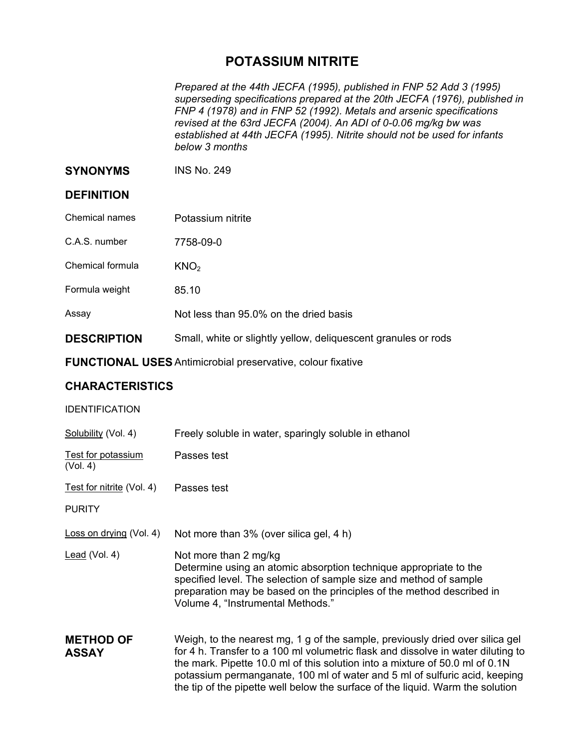## **POTASSIUM NITRITE**

*Prepared at the 44th JECFA (1995), published in FNP 52 Add 3 (1995) superseding specifications prepared at the 20th JECFA (1976), published in FNP 4 (1978) and in FNP 52 (1992). Metals and arsenic specifications revised at the 63rd JECFA (2004). An ADI of 0-0.06 mg/kg bw was established at 44th JECFA (1995). Nitrite should not be used for infants below 3 months* 

**SYNONYMS** INS No. 249

## **DEFINITION**

- Chemical names Potassium nitrite
- C.A.S. number 7758-09-0
- Chemical formula  $KNO<sub>2</sub>$
- Formula weight 85.10

|  | Not less than 95.0% on the dried basis |
|--|----------------------------------------|

**DESCRIPTION** Small, white or slightly yellow, deliquescent granules or rods

**FUNCTIONAL USES** Antimicrobial preservative, colour fixative

## **CHARACTERISTICS**

## IDENTIFICATION

| Solubility (Vol. 4)              | Freely soluble in water, sparingly soluble in ethanol                                                                                                                                                                                                                                                                          |
|----------------------------------|--------------------------------------------------------------------------------------------------------------------------------------------------------------------------------------------------------------------------------------------------------------------------------------------------------------------------------|
| Test for potassium<br>(Vol. 4)   | Passes test                                                                                                                                                                                                                                                                                                                    |
| Test for nitrite (Vol. 4)        | Passes test                                                                                                                                                                                                                                                                                                                    |
| <b>PURITY</b>                    |                                                                                                                                                                                                                                                                                                                                |
| Loss on drying (Vol. 4)          | Not more than 3% (over silica gel, 4 h)                                                                                                                                                                                                                                                                                        |
| Lead (Vol. 4)                    | Not more than 2 mg/kg<br>Determine using an atomic absorption technique appropriate to the<br>specified level. The selection of sample size and method of sample<br>preparation may be based on the principles of the method described in<br>Volume 4, "Instrumental Methods."                                                 |
| <b>METHOD OF</b><br><b>ASSAY</b> | Weigh, to the nearest mg, 1 g of the sample, previously dried over silica gel<br>for 4 h. Transfer to a 100 ml volumetric flask and dissolve in water diluting to<br>the mark. Pipette 10.0 ml of this solution into a mixture of 50.0 ml of 0.1N<br>potassium nermanganate 100 ml of water and 5 ml of sulfuric acid keeping. |

potassium permanganate, 100 ml of water and 5 ml of sulfuric acid, keeping the tip of the pipette well below the surface of the liquid. Warm the solution